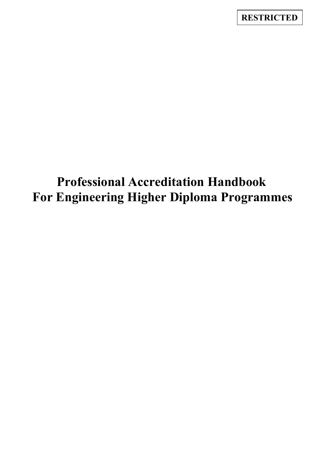**RESTRICTED**

# **Professional Accreditation Handbook For Engineering Higher Diploma Programmes**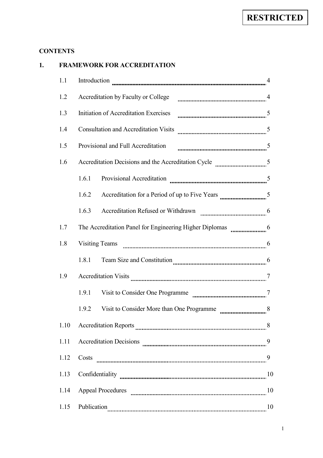# **CONTENTS**

| 1. |      | <b>FRAMEWORK FOR ACCREDITATION</b>                                                                                |    |  |  |
|----|------|-------------------------------------------------------------------------------------------------------------------|----|--|--|
|    | 1.1  | Introduction                                                                                                      |    |  |  |
|    | 1.2  | Accreditation by Faculty or College manufactured and the fact that the Second Accreditation by Faculty or College |    |  |  |
|    | 1.3  | Initiation of Accreditation Exercises                                                                             |    |  |  |
|    | 1.4  | <b>Consultation and Accreditation Visits</b>                                                                      |    |  |  |
|    | 1.5  | Provisional and Full Accreditation                                                                                |    |  |  |
|    | 1.6  |                                                                                                                   |    |  |  |
|    |      | 1.6.1                                                                                                             |    |  |  |
|    |      | 1.6.2                                                                                                             |    |  |  |
|    |      | 1.6.3                                                                                                             |    |  |  |
|    | 1.7  | The Accreditation Panel for Engineering Higher Diplomas manufactured 6                                            |    |  |  |
|    | 1.8  | <b>Visiting Teams</b>                                                                                             |    |  |  |
|    |      | 1.8.1                                                                                                             |    |  |  |
|    | 1.9  |                                                                                                                   |    |  |  |
|    |      | 1.9.1<br>Visit to Consider One Programme                                                                          |    |  |  |
|    |      | 1.9.2 Visit to Consider More than One Programme                                                                   |    |  |  |
|    | 1.10 |                                                                                                                   | 8  |  |  |
|    | 1.11 |                                                                                                                   | 9  |  |  |
|    | 1.12 | Costs                                                                                                             | 9  |  |  |
|    | 1.13 |                                                                                                                   |    |  |  |
|    | 1.14 |                                                                                                                   | 10 |  |  |
|    | 1.15 | Publication                                                                                                       | 10 |  |  |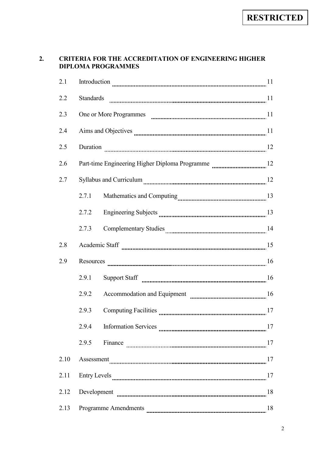# **2. CRITERIA FOR THE ACCREDITATION OF ENGINEERING HIGHER DIPLOMA PROGRAMMES**

| 2.1  |                                   | Introduction $\frac{1}{1}$ |    |  |  |
|------|-----------------------------------|----------------------------|----|--|--|
| 2.2  | <b>Standards</b>                  |                            |    |  |  |
| 2.3  |                                   |                            |    |  |  |
| 2.4  |                                   |                            |    |  |  |
| 2.5  | Duration                          |                            |    |  |  |
| 2.6  |                                   |                            |    |  |  |
| 2.7  |                                   |                            |    |  |  |
|      | 2.7.1                             |                            |    |  |  |
|      | 2.7.2                             |                            |    |  |  |
|      | 2.7.3                             |                            |    |  |  |
| 2.8  |                                   |                            |    |  |  |
| 2.9  |                                   |                            |    |  |  |
|      | 2.9.1                             |                            |    |  |  |
|      | 2.9.2                             |                            |    |  |  |
|      | 2.9.3                             |                            |    |  |  |
|      | 2.9.4                             |                            | 17 |  |  |
|      | 2.9.5                             |                            |    |  |  |
| 2.10 | Assessment 27                     |                            |    |  |  |
| 2.11 | 17                                |                            |    |  |  |
| 2.12 | 18                                |                            |    |  |  |
| 2.13 | <b>Programme Amendments</b><br>18 |                            |    |  |  |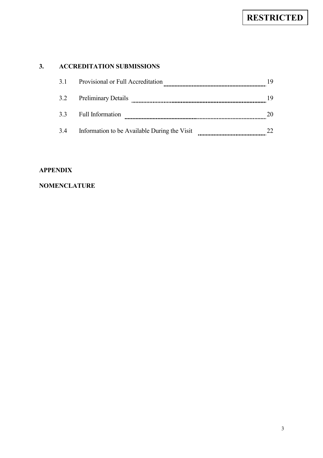# **3. ACCREDITATION SUBMISSIONS**

| 3.1 | Provisional or Full Accreditation            |  |
|-----|----------------------------------------------|--|
| 3.2 | <b>Preliminary Details</b>                   |  |
| 3.3 | <b>Full Information</b>                      |  |
| 3.4 | Information to be Available During the Visit |  |

# **APPENDIX**

# **NOMENCLATURE**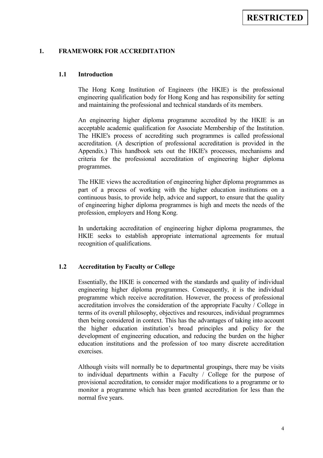#### **1. FRAMEWORK FOR ACCREDITATION**

#### **1.1 Introduction**

The Hong Kong Institution of Engineers (the HKIE) is the professional engineering qualification body for Hong Kong and has responsibility for setting and maintaining the professional and technical standards of its members.

An engineering higher diploma programme accredited by the HKIE is an acceptable academic qualification for Associate Membership of the Institution. The HKIE's process of accrediting such programmes is called professional accreditation. (A description of professional accreditation is provided in the Appendix.) This handbook sets out the HKIE's processes, mechanisms and criteria for the professional accreditation of engineering higher diploma programmes.

The HKIE views the accreditation of engineering higher diploma programmes as part of a process of working with the higher education institutions on a continuous basis, to provide help, advice and support, to ensure that the quality of engineering higher diploma programmes is high and meets the needs of the profession, employers and Hong Kong.

In undertaking accreditation of engineering higher diploma programmes, the HKIE seeks to establish appropriate international agreements for mutual recognition of qualifications.

# **1.2 Accreditation by Faculty or College**

Essentially, the HKIE is concerned with the standards and quality of individual engineering higher diploma programmes. Consequently, it is the individual programme which receive accreditation. However, the process of professional accreditation involves the consideration of the appropriate Faculty / College in terms of its overall philosophy, objectives and resources, individual programmes then being considered in context. This has the advantages of taking into account the higher education institution's broad principles and policy for the development of engineering education, and reducing the burden on the higher education institutions and the profession of too many discrete accreditation exercises.

Although visits will normally be to departmental groupings, there may be visits to individual departments within a Faculty / College for the purpose of provisional accreditation, to consider major modifications to a programme or to monitor a programme which has been granted accreditation for less than the normal five years.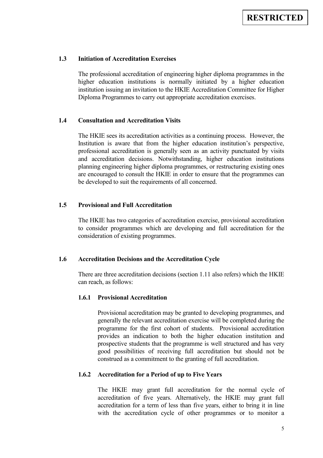## **1.3 Initiation of Accreditation Exercises**

The professional accreditation of engineering higher diploma programmes in the higher education institutions is normally initiated by a higher education institution issuing an invitation to the HKIE Accreditation Committee for Higher Diploma Programmes to carry out appropriate accreditation exercises.

#### **1.4 Consultation and Accreditation Visits**

The HKIE sees its accreditation activities as a continuing process. However, the Institution is aware that from the higher education institution's perspective, professional accreditation is generally seen as an activity punctuated by visits and accreditation decisions. Notwithstanding, higher education institutions planning engineering higher diploma programmes, or restructuring existing ones are encouraged to consult the HKIE in order to ensure that the programmes can be developed to suit the requirements of all concerned.

# **1.5 Provisional and Full Accreditation**

The HKIE has two categories of accreditation exercise, provisional accreditation to consider programmes which are developing and full accreditation for the consideration of existing programmes.

# **1.6 Accreditation Decisions and the Accreditation Cycle**

There are three accreditation decisions (section 1.11 also refers) which the HKIE can reach, as follows:

#### **1.6.1 Provisional Accreditation**

Provisional accreditation may be granted to developing programmes, and generally the relevant accreditation exercise will be completed during the programme for the first cohort of students. Provisional accreditation provides an indication to both the higher education institution and prospective students that the programme is well structured and has very good possibilities of receiving full accreditation but should not be construed as a commitment to the granting of full accreditation.

#### **1.6.2 Accreditation for a Period of up to Five Years**

The HKIE may grant full accreditation for the normal cycle of accreditation of five years. Alternatively, the HKIE may grant full accreditation for a term of less than five years, either to bring it in line with the accreditation cycle of other programmes or to monitor a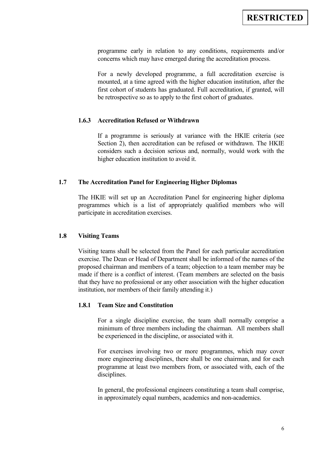programme early in relation to any conditions, requirements and/or concerns which may have emerged during the accreditation process.

For a newly developed programme, a full accreditation exercise is mounted, at a time agreed with the higher education institution, after the first cohort of students has graduated. Full accreditation, if granted, will be retrospective so as to apply to the first cohort of graduates.

#### **1.6.3 Accreditation Refused or Withdrawn**

If a programme is seriously at variance with the HKIE criteria (see Section 2), then accreditation can be refused or withdrawn. The HKIE considers such a decision serious and, normally, would work with the higher education institution to avoid it.

### **1.7 The Accreditation Panel for Engineering Higher Diplomas**

The HKIE will set up an Accreditation Panel for engineering higher diploma programmes which is a list of appropriately qualified members who will participate in accreditation exercises.

#### **1.8 Visiting Teams**

Visiting teams shall be selected from the Panel for each particular accreditation exercise. The Dean or Head of Department shall be informed of the names of the proposed chairman and members of a team; objection to a team member may be made if there is a conflict of interest. (Team members are selected on the basis that they have no professional or any other association with the higher education institution, nor members of their family attending it.)

## **1.8.1 Team Size and Constitution**

For a single discipline exercise, the team shall normally comprise a minimum of three members including the chairman. All members shall be experienced in the discipline, or associated with it.

For exercises involving two or more programmes, which may cover more engineering disciplines, there shall be one chairman, and for each programme at least two members from, or associated with, each of the disciplines.

In general, the professional engineers constituting a team shall comprise, in approximately equal numbers, academics and non-academics.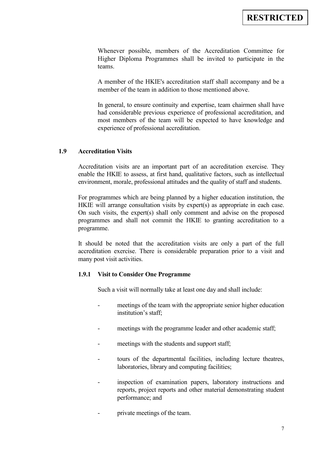Whenever possible, members of the Accreditation Committee for Higher Diploma Programmes shall be invited to participate in the teams.

A member of the HKIE's accreditation staff shall accompany and be a member of the team in addition to those mentioned above.

In general, to ensure continuity and expertise, team chairmen shall have had considerable previous experience of professional accreditation, and most members of the team will be expected to have knowledge and experience of professional accreditation.

## **1.9 Accreditation Visits**

Accreditation visits are an important part of an accreditation exercise. They enable the HKIE to assess, at first hand, qualitative factors, such as intellectual environment, morale, professional attitudes and the quality of staff and students.

For programmes which are being planned by a higher education institution, the HKIE will arrange consultation visits by expert(s) as appropriate in each case. On such visits, the expert(s) shall only comment and advise on the proposed programmes and shall not commit the HKIE to granting accreditation to a programme.

It should be noted that the accreditation visits are only a part of the full accreditation exercise. There is considerable preparation prior to a visit and many post visit activities.

# **1.9.1 Visit to Consider One Programme**

Such a visit will normally take at least one day and shall include:

- meetings of the team with the appropriate senior higher education institution's staff;
- meetings with the programme leader and other academic staff;
- meetings with the students and support staff;
- tours of the departmental facilities, including lecture theatres, laboratories, library and computing facilities;
- inspection of examination papers, laboratory instructions and reports, project reports and other material demonstrating student performance; and
- private meetings of the team.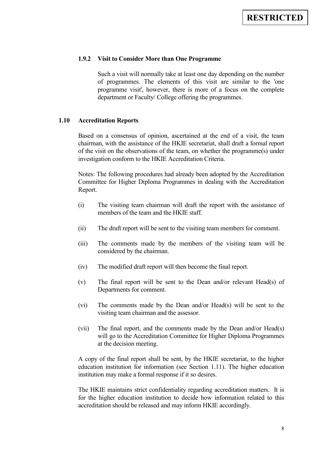#### **1.9.2 Visit to Consider More than One Programme**

Such a visit will normally take at least one day depending on the number of programmes. The elements of this visit are similar to the 'one programme visit', however, there is more of a focus on the complete department or Faculty/ College offering the programmes.

#### **1.10 Accreditation Reports**

Based on a consensus of opinion, ascertained at the end of a visit, the team chairman, with the assistance of the HKIE secretariat, shall draft a formal report of the visit on the observations of the team, on whether the programme(s) under investigation conform to the HKIE Accreditation Criteria.

Notes: The following procedures had already been adopted by the Accreditation Committee for Higher Diploma Programmes in dealing with the Accreditation Report.

- (i) The visiting team chairman will draft the report with the assistance of members of the team and the HKIE staff.
- (ii) The draft report will be sent to the visiting team members for comment.
- (iii) The comments made by the members of the visiting team will be considered by the chairman.
- (iv) The modified draft report will then become the final report.
- (v) The final report will be sent to the Dean and/or relevant Head(s) of Departments for comment.
- (vi) The comments made by the Dean and/or Head(s) will be sent to the visiting team chairman and the assessor.
- (vii) The final report, and the comments made by the Dean and/or Head(s) will go to the Accreditation Committee for Higher Diploma Programmes at the decision meeting.

A copy of the final report shall be sent, by the HKIE secretariat, to the higher education institution for information (see Section 1.11). The higher education institution may make a formal response if it so desires.

The HKIE maintains strict confidentiality regarding accreditation matters. It is for the higher education institution to decide how information related to this accreditation should be released and may inform HKIE accordingly.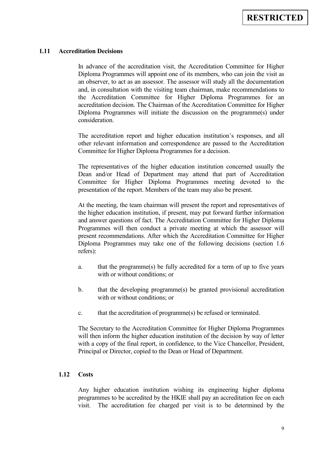## **1.11 Accreditation Decisions**

In advance of the accreditation visit, the Accreditation Committee for Higher Diploma Programmes will appoint one of its members, who can join the visit as an observer, to act as an assessor. The assessor will study all the documentation and, in consultation with the visiting team chairman, make recommendations to the Accreditation Committee for Higher Diploma Programmes for an accreditation decision. The Chairman of the Accreditation Committee for Higher Diploma Programmes will initiate the discussion on the programme(s) under consideration.

The accreditation report and higher education institution's responses, and all other relevant information and correspondence are passed to the Accreditation Committee for Higher Diploma Programmes for a decision.

The representatives of the higher education institution concerned usually the Dean and/or Head of Department may attend that part of Accreditation Committee for Higher Diploma Programmes meeting devoted to the presentation of the report. Members of the team may also be present.

At the meeting, the team chairman will present the report and representatives of the higher education institution, if present, may put forward further information and answer questions of fact. The Accreditation Committee for Higher Diploma Programmes will then conduct a private meeting at which the assessor will present recommendations. After which the Accreditation Committee for Higher Diploma Programmes may take one of the following decisions (section 1.6 refers):

- a. that the programme(s) be fully accredited for a term of up to five years with or without conditions; or
- b. that the developing programme(s) be granted provisional accreditation with or without conditions; or
- c. that the accreditation of programme(s) be refused or terminated.

The Secretary to the Accreditation Committee for Higher Diploma Programmes will then inform the higher education institution of the decision by way of letter with a copy of the final report, in confidence, to the Vice Chancellor, President, Principal or Director, copied to the Dean or Head of Department.

#### **1.12 Costs**

Any higher education institution wishing its engineering higher diploma programmes to be accredited by the HKIE shall pay an accreditation fee on each visit. The accreditation fee charged per visit is to be determined by the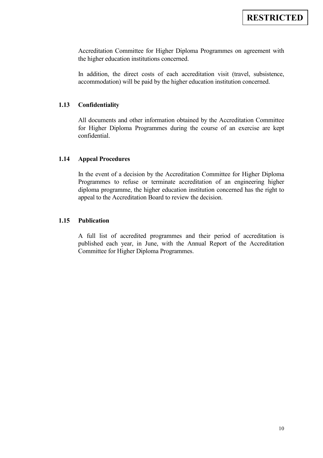Accreditation Committee for Higher Diploma Programmes on agreement with the higher education institutions concerned.

In addition, the direct costs of each accreditation visit (travel, subsistence, accommodation) will be paid by the higher education institution concerned.

# **1.13 Confidentiality**

All documents and other information obtained by the Accreditation Committee for Higher Diploma Programmes during the course of an exercise are kept confidential.

## **1.14 Appeal Procedures**

In the event of a decision by the Accreditation Committee for Higher Diploma Programmes to refuse or terminate accreditation of an engineering higher diploma programme, the higher education institution concerned has the right to appeal to the Accreditation Board to review the decision.

# **1.15 Publication**

A full list of accredited programmes and their period of accreditation is published each year, in June, with the Annual Report of the Accreditation Committee for Higher Diploma Programmes.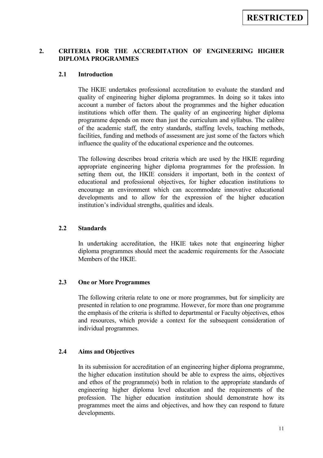# **2. CRITERIA FOR THE ACCREDITATION OF ENGINEERING HIGHER DIPLOMA PROGRAMMES**

## **2.1 Introduction**

The HKIE undertakes professional accreditation to evaluate the standard and quality of engineering higher diploma programmes. In doing so it takes into account a number of factors about the programmes and the higher education institutions which offer them. The quality of an engineering higher diploma programme depends on more than just the curriculum and syllabus. The calibre of the academic staff, the entry standards, staffing levels, teaching methods, facilities, funding and methods of assessment are just some of the factors which influence the quality of the educational experience and the outcomes.

The following describes broad criteria which are used by the HKIE regarding appropriate engineering higher diploma programmes for the profession. In setting them out, the HKIE considers it important, both in the context of educational and professional objectives, for higher education institutions to encourage an environment which can accommodate innovative educational developments and to allow for the expression of the higher education institution's individual strengths, qualities and ideals.

## **2.2 Standards**

In undertaking accreditation, the HKIE takes note that engineering higher diploma programmes should meet the academic requirements for the Associate Members of the HKIE.

## **2.3 One or More Programmes**

The following criteria relate to one or more programmes, but for simplicity are presented in relation to one programme. However, for more than one programme the emphasis of the criteria is shifted to departmental or Faculty objectives, ethos and resources, which provide a context for the subsequent consideration of individual programmes.

## **2.4 Aims and Objectives**

In its submission for accreditation of an engineering higher diploma programme, the higher education institution should be able to express the aims, objectives and ethos of the programme(s) both in relation to the appropriate standards of engineering higher diploma level education and the requirements of the profession. The higher education institution should demonstrate how its programmes meet the aims and objectives, and how they can respond to future developments.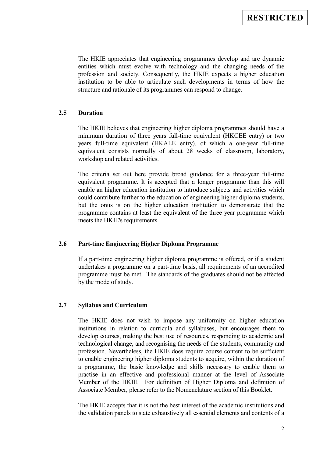The HKIE appreciates that engineering programmes develop and are dynamic entities which must evolve with technology and the changing needs of the profession and society. Consequently, the HKIE expects a higher education institution to be able to articulate such developments in terms of how the structure and rationale of its programmes can respond to change.

# **2.5 Duration**

The HKIE believes that engineering higher diploma programmes should have a minimum duration of three years full-time equivalent (HKCEE entry) or two years full-time equivalent (HKALE entry), of which a one-year full-time equivalent consists normally of about 28 weeks of classroom, laboratory, workshop and related activities.

The criteria set out here provide broad guidance for a three-year full-time equivalent programme. It is accepted that a longer programme than this will enable an higher education institution to introduce subjects and activities which could contribute further to the education of engineering higher diploma students, but the onus is on the higher education institution to demonstrate that the programme contains at least the equivalent of the three year programme which meets the HKIE's requirements.

## **2.6 Part-time Engineering Higher Diploma Programme**

If a part-time engineering higher diploma programme is offered, or if a student undertakes a programme on a part-time basis, all requirements of an accredited programme must be met. The standards of the graduates should not be affected by the mode of study.

## **2.7 Syllabus and Curriculum**

The HKIE does not wish to impose any uniformity on higher education institutions in relation to curricula and syllabuses, but encourages them to develop courses, making the best use of resources, responding to academic and technological change, and recognising the needs of the students, community and profession. Nevertheless, the HKIE does require course content to be sufficient to enable engineering higher diploma students to acquire, within the duration of a programme, the basic knowledge and skills necessary to enable them to practise in an effective and professional manner at the level of Associate Member of the HKIE. For definition of Higher Diploma and definition of Associate Member, please refer to the Nomenclature section of this Booklet.

The HKIE accepts that it is not the best interest of the academic institutions and the validation panels to state exhaustively all essential elements and contents of a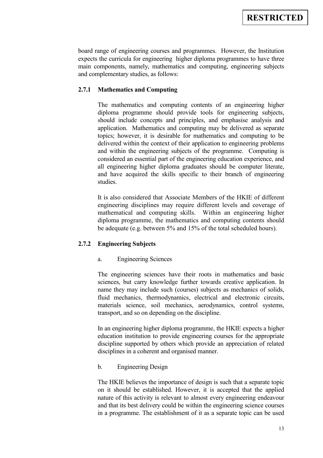board range of engineering courses and programmes. However, the Institution expects the curricula for engineering higher diploma programmes to have three main components, namely, mathematics and computing, engineering subjects and complementary studies, as follows:

# **2.7.1 Mathematics and Computing**

The mathematics and computing contents of an engineering higher diploma programme should provide tools for engineering subjects, should include concepts and principles, and emphasise analysis and application. Mathematics and computing may be delivered as separate topics; however, it is desirable for mathematics and computing to be delivered within the context of their application to engineering problems and within the engineering subjects of the programme. Computing is considered an essential part of the engineering education experience, and all engineering higher diploma graduates should be computer literate, and have acquired the skills specific to their branch of engineering studies.

It is also considered that Associate Members of the HKIE of different engineering disciplines may require different levels and coverage of mathematical and computing skills. Within an engineering higher diploma programme, the mathematics and computing contents should be adequate (e.g. between 5% and 15% of the total scheduled hours).

## **2.7.2 Engineering Subjects**

## a. Engineering Sciences

The engineering sciences have their roots in mathematics and basic sciences, but carry knowledge further towards creative application. In name they may include such (courses) subjects as mechanics of solids, fluid mechanics, thermodynamics, electrical and electronic circuits, materials science, soil mechanics, aerodynamics, control systems, transport, and so on depending on the discipline.

In an engineering higher diploma programme, the HKIE expects a higher education institution to provide engineering courses for the appropriate discipline supported by others which provide an appreciation of related disciplines in a coherent and organised manner.

## b. Engineering Design

The HKIE believes the importance of design is such that a separate topic on it should be established. However, it is accepted that the applied nature of this activity is relevant to almost every engineering endeavour and that its best delivery could be within the engineering science courses in a programme. The establishment of it as a separate topic can be used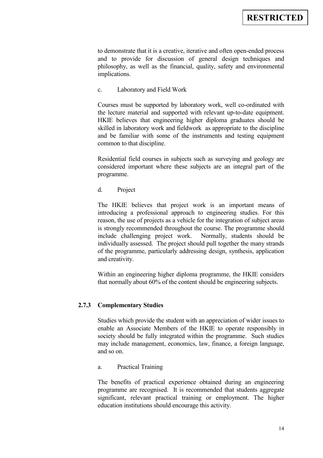to demonstrate that it is a creative, iterative and often open-ended process and to provide for discussion of general design techniques and philosophy, as well as the financial, quality, safety and environmental implications.

c. Laboratory and Field Work

Courses must be supported by laboratory work, well co-ordinated with the lecture material and supported with relevant up-to-date equipment. HKIE believes that engineering higher diploma graduates should be skilled in laboratory work and fieldwork as appropriate to the discipline and be familiar with some of the instruments and testing equipment common to that discipline.

Residential field courses in subjects such as surveying and geology are considered important where these subjects are an integral part of the programme.

d. Project

The HKIE believes that project work is an important means of introducing a professional approach to engineering studies. For this reason, the use of projects as a vehicle for the integration of subject areas is strongly recommended throughout the course. The programme should include challenging project work. Normally, students should be individually assessed. The project should pull together the many strands of the programme, particularly addressing design, synthesis, application and creativity.

Within an engineering higher diploma programme, the HKIE considers that normally about 60% of the content should be engineering subjects.

# **2.7.3 Complementary Studies**

Studies which provide the student with an appreciation of wider issues to enable an Associate Members of the HKIE to operate responsibly in society should be fully integrated within the programme. Such studies may include management, economics, law, finance, a foreign language, and so on.

a. Practical Training

The benefits of practical experience obtained during an engineering programme are recognised. It is recommended that students aggregate significant, relevant practical training or employment. The higher education institutions should encourage this activity.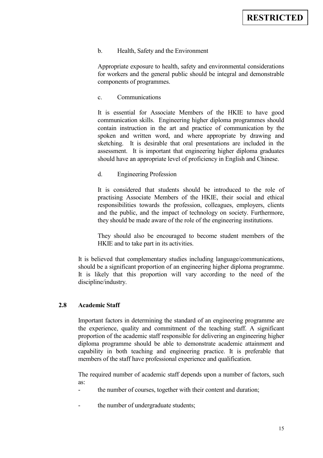# b. Health, Safety and the Environment

Appropriate exposure to health, safety and environmental considerations for workers and the general public should be integral and demonstrable components of programmes.

## c. Communications

It is essential for Associate Members of the HKIE to have good communication skills. Engineering higher diploma programmes should contain instruction in the art and practice of communication by the spoken and written word, and where appropriate by drawing and sketching. It is desirable that oral presentations are included in the assessment. It is important that engineering higher diploma graduates should have an appropriate level of proficiency in English and Chinese.

#### d. Engineering Profession

It is considered that students should be introduced to the role of practising Associate Members of the HKIE, their social and ethical responsibilities towards the profession, colleagues, employers, clients and the public, and the impact of technology on society. Furthermore, they should be made aware of the role of the engineering institutions.

They should also be encouraged to become student members of the HKIE and to take part in its activities.

It is believed that complementary studies including language/communications, should be a significant proportion of an engineering higher diploma programme. It is likely that this proportion will vary according to the need of the discipline/industry.

## **2.8 Academic Staff**

Important factors in determining the standard of an engineering programme are the experience, quality and commitment of the teaching staff. A significant proportion of the academic staff responsible for delivering an engineering higher diploma programme should be able to demonstrate academic attainment and capability in both teaching and engineering practice. It is preferable that members of the staff have professional experience and qualification.

The required number of academic staff depends upon a number of factors, such as:

- the number of courses, together with their content and duration;
- the number of undergraduate students;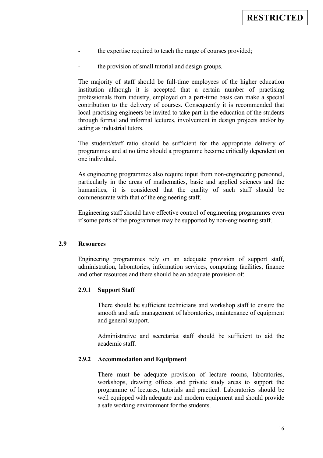- the expertise required to teach the range of courses provided;
- the provision of small tutorial and design groups.

The majority of staff should be full-time employees of the higher education institution although it is accepted that a certain number of practising professionals from industry, employed on a part-time basis can make a special contribution to the delivery of courses. Consequently it is recommended that local practising engineers be invited to take part in the education of the students through formal and informal lectures, involvement in design projects and/or by acting as industrial tutors.

The student/staff ratio should be sufficient for the appropriate delivery of programmes and at no time should a programme become critically dependent on one individual.

As engineering programmes also require input from non-engineering personnel, particularly in the areas of mathematics, basic and applied sciences and the humanities, it is considered that the quality of such staff should be commensurate with that of the engineering staff.

Engineering staff should have effective control of engineering programmes even if some parts of the programmes may be supported by non-engineering staff.

# **2.9 Resources**

Engineering programmes rely on an adequate provision of support staff, administration, laboratories, information services, computing facilities, finance and other resources and there should be an adequate provision of:

#### **2.9.1 Support Staff**

There should be sufficient technicians and workshop staff to ensure the smooth and safe management of laboratories, maintenance of equipment and general support.

Administrative and secretariat staff should be sufficient to aid the academic staff.

#### **2.9.2 Accommodation and Equipment**

There must be adequate provision of lecture rooms, laboratories, workshops, drawing offices and private study areas to support the programme of lectures, tutorials and practical. Laboratories should be well equipped with adequate and modern equipment and should provide a safe working environment for the students.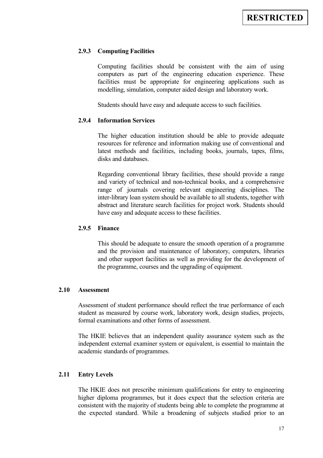## **2.9.3 Computing Facilities**

Computing facilities should be consistent with the aim of using computers as part of the engineering education experience. These facilities must be appropriate for engineering applications such as modelling, simulation, computer aided design and laboratory work.

Students should have easy and adequate access to such facilities.

## **2.9.4 Information Services**

The higher education institution should be able to provide adequate resources for reference and information making use of conventional and latest methods and facilities, including books, journals, tapes, films, disks and databases.

Regarding conventional library facilities, these should provide a range and variety of technical and non-technical books, and a comprehensive range of journals covering relevant engineering disciplines. The inter-library loan system should be available to all students, together with abstract and literature search facilities for project work. Students should have easy and adequate access to these facilities.

#### **2.9.5 Finance**

This should be adequate to ensure the smooth operation of a programme and the provision and maintenance of laboratory, computers, libraries and other support facilities as well as providing for the development of the programme, courses and the upgrading of equipment.

#### **2.10 Assessment**

Assessment of student performance should reflect the true performance of each student as measured by course work, laboratory work, design studies, projects, formal examinations and other forms of assessment.

The HKIE believes that an independent quality assurance system such as the independent external examiner system or equivalent, is essential to maintain the academic standards of programmes.

## **2.11 Entry Levels**

The HKIE does not prescribe minimum qualifications for entry to engineering higher diploma programmes, but it does expect that the selection criteria are consistent with the majority of students being able to complete the programme at the expected standard. While a broadening of subjects studied prior to an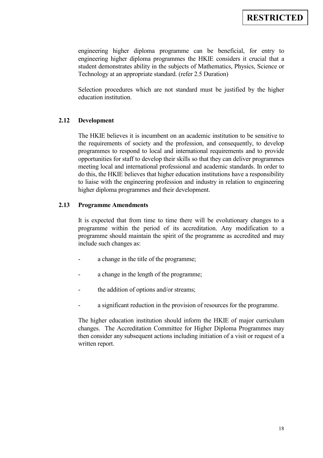engineering higher diploma programme can be beneficial, for entry to engineering higher diploma programmes the HKIE considers it crucial that a student demonstrates ability in the subjects of Mathematics, Physics, Science or Technology at an appropriate standard. (refer 2.5 Duration)

Selection procedures which are not standard must be justified by the higher education institution.

## **2.12 Development**

The HKIE believes it is incumbent on an academic institution to be sensitive to the requirements of society and the profession, and consequently, to develop programmes to respond to local and international requirements and to provide opportunities for staff to develop their skills so that they can deliver programmes meeting local and international professional and academic standards. In order to do this, the HKIE believes that higher education institutions have a responsibility to liaise with the engineering profession and industry in relation to engineering higher diploma programmes and their development.

# **2.13 Programme Amendments**

It is expected that from time to time there will be evolutionary changes to a programme within the period of its accreditation. Any modification to a programme should maintain the spirit of the programme as accredited and may include such changes as:

- a change in the title of the programme;
- a change in the length of the programme;
- the addition of options and/or streams;
- a significant reduction in the provision of resources for the programme.

The higher education institution should inform the HKIE of major curriculum changes. The Accreditation Committee for Higher Diploma Programmes may then consider any subsequent actions including initiation of a visit or request of a written report.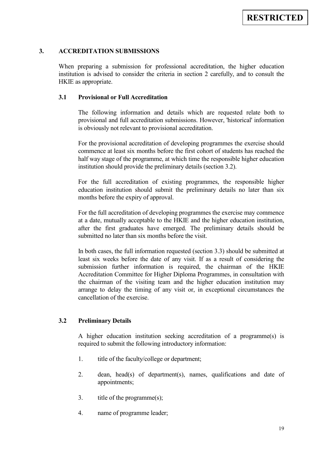# **3. ACCREDITATION SUBMISSIONS**

When preparing a submission for professional accreditation, the higher education institution is advised to consider the criteria in section 2 carefully, and to consult the HKIE as appropriate.

# **3.1 Provisional or Full Accreditation**

The following information and details which are requested relate both to provisional and full accreditation submissions. However, 'historical' information is obviously not relevant to provisional accreditation.

For the provisional accreditation of developing programmes the exercise should commence at least six months before the first cohort of students has reached the half way stage of the programme, at which time the responsible higher education institution should provide the preliminary details (section 3.2).

For the full accreditation of existing programmes, the responsible higher education institution should submit the preliminary details no later than six months before the expiry of approval.

For the full accreditation of developing programmes the exercise may commence at a date, mutually acceptable to the HKIE and the higher education institution, after the first graduates have emerged. The preliminary details should be submitted no later than six months before the visit.

In both cases, the full information requested (section 3.3) should be submitted at least six weeks before the date of any visit. If as a result of considering the submission further information is required, the chairman of the HKIE Accreditation Committee for Higher Diploma Programmes, in consultation with the chairman of the visiting team and the higher education institution may arrange to delay the timing of any visit or, in exceptional circumstances the cancellation of the exercise.

## **3.2 Preliminary Details**

A higher education institution seeking accreditation of a programme(s) is required to submit the following introductory information:

- 1. title of the faculty/college or department;
- 2. dean, head(s) of department(s), names, qualifications and date of appointments;
- 3. title of the programme(s);
- 4. name of programme leader;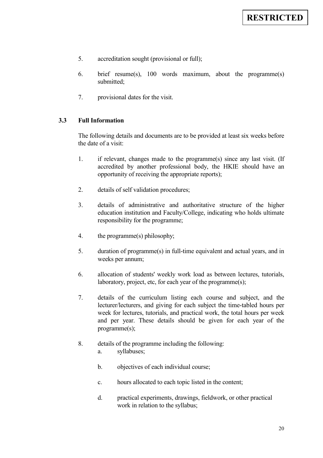- 5. accreditation sought (provisional or full);
- 6. brief resume(s), 100 words maximum, about the programme(s) submitted;
- 7. provisional dates for the visit.

# **3.3 Full Information**

The following details and documents are to be provided at least six weeks before the date of a visit:

- 1. if relevant, changes made to the programme(s) since any last visit. (If accredited by another professional body, the HKIE should have an opportunity of receiving the appropriate reports);
- 2. details of self validation procedures;
- 3. details of administrative and authoritative structure of the higher education institution and Faculty/College, indicating who holds ultimate responsibility for the programme;
- 4. the programme(s) philosophy;
- 5. duration of programme(s) in full-time equivalent and actual years, and in weeks per annum;
- 6. allocation of students' weekly work load as between lectures, tutorials, laboratory, project, etc, for each year of the programme(s);
- 7. details of the curriculum listing each course and subject, and the lecturer/lecturers, and giving for each subject the time-tabled hours per week for lectures, tutorials, and practical work, the total hours per week and per year. These details should be given for each year of the programme(s);
- 8. details of the programme including the following:
	- a. syllabuses;
	- b. objectives of each individual course;
	- c. hours allocated to each topic listed in the content;
	- d. practical experiments, drawings, fieldwork, or other practical work in relation to the syllabus;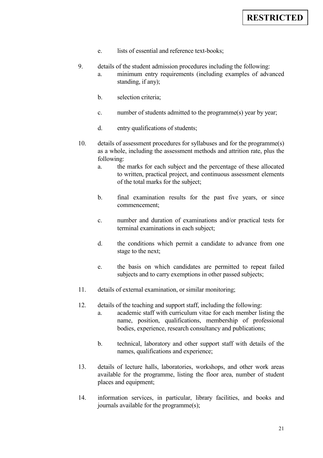- e. lists of essential and reference text-books;
- 9. details of the student admission procedures including the following: a. minimum entry requirements (including examples of advanced standing, if any);
	- b. selection criteria;
	- c. number of students admitted to the programme(s) year by year;
	- d. entry qualifications of students;
- 10. details of assessment procedures for syllabuses and for the programme(s) as a whole, including the assessment methods and attrition rate, plus the following:
	- a. the marks for each subject and the percentage of these allocated to written, practical project, and continuous assessment elements of the total marks for the subject;
	- b. final examination results for the past five years, or since commencement;
	- c. number and duration of examinations and/or practical tests for terminal examinations in each subject;
	- d. the conditions which permit a candidate to advance from one stage to the next;
	- e. the basis on which candidates are permitted to repeat failed subjects and to carry exemptions in other passed subjects;
- 11. details of external examination, or similar monitoring;
- 12. details of the teaching and support staff, including the following:
	- a. academic staff with curriculum vitae for each member listing the name, position, qualifications, membership of professional bodies, experience, research consultancy and publications;
	- b. technical, laboratory and other support staff with details of the names, qualifications and experience;
- 13. details of lecture halls, laboratories, workshops, and other work areas available for the programme, listing the floor area, number of student places and equipment;
- 14. information services, in particular, library facilities, and books and journals available for the programme(s);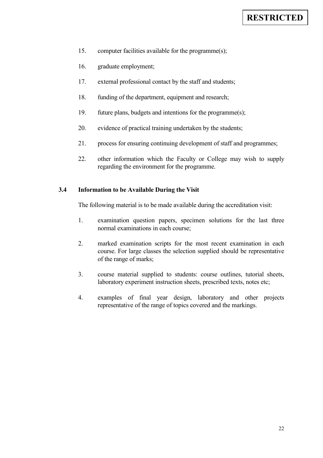- 15. computer facilities available for the programme(s);
- 16. graduate employment;
- 17. external professional contact by the staff and students;
- 18. funding of the department, equipment and research;
- 19. future plans, budgets and intentions for the programme(s);
- 20. evidence of practical training undertaken by the students;
- 21. process for ensuring continuing development of staff and programmes;
- 22. other information which the Faculty or College may wish to supply regarding the environment for the programme.

# **3.4 Information to be Available During the Visit**

The following material is to be made available during the accreditation visit:

- 1. examination question papers, specimen solutions for the last three normal examinations in each course;
- 2. marked examination scripts for the most recent examination in each course. For large classes the selection supplied should be representative of the range of marks;
- 3. course material supplied to students: course outlines, tutorial sheets, laboratory experiment instruction sheets, prescribed texts, notes etc;
- 4. examples of final year design, laboratory and other projects representative of the range of topics covered and the markings.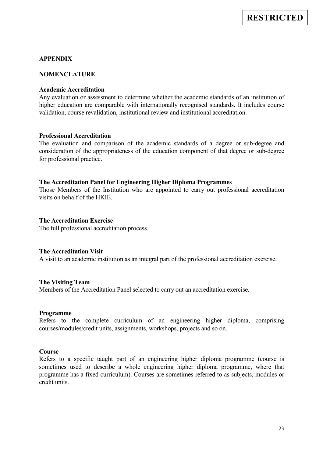# **APPENDIX**

#### **NOMENCLATURE**

#### **Academic Accreditation**

Any evaluation or assessment to determine whether the academic standards of an institution of higher education are comparable with internationally recognised standards. It includes course validation, course revalidation, institutional review and institutional accreditation.

#### **Professional Accreditation**

The evaluation and comparison of the academic standards of a degree or sub-degree and consideration of the appropriateness of the education component of that degree or sub-degree for professional practice.

#### **The Accreditation Panel for Engineering Higher Diploma Programmes**

Those Members of the Institution who are appointed to carry out professional accreditation visits on behalf of the HKIE.

#### **The Accreditation Exercise**

The full professional accreditation process.

#### **The Accreditation Visit**

A visit to an academic institution as an integral part of the professional accreditation exercise.

#### **The Visiting Team**

Members of the Accreditation Panel selected to carry out an accreditation exercise.

#### **Programme**

Refers to the complete curriculum of an engineering higher diploma, comprising courses/modules/credit units, assignments, workshops, projects and so on.

#### **Course**

Refers to a specific taught part of an engineering higher diploma programme (course is sometimes used to describe a whole engineering higher diploma programme, where that programme has a fixed curriculum). Courses are sometimes referred to as subjects, modules or credit units.